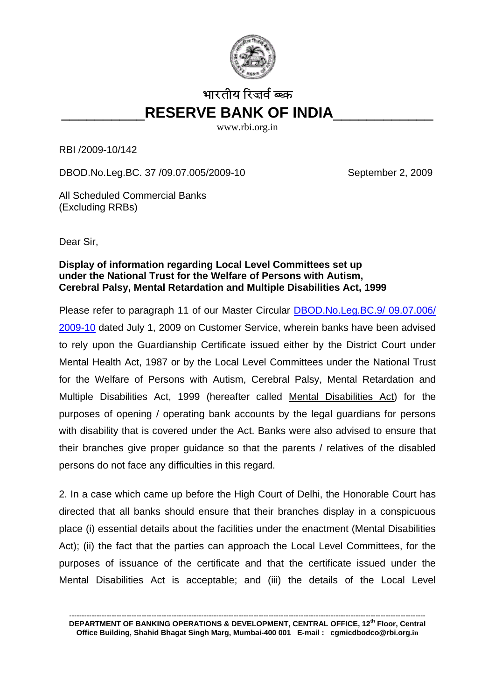

## भारतीय रिजर्व ब्ब्क \_\_\_\_\_\_\_\_\_\_**RESERVE BANK OF INDIA**\_\_\_\_\_\_\_\_\_\_\_\_

www.rbi.org.in

RBI /2009-10/142

DBOD.No.Leg.BC. 37 /09.07.005/2009-10 September 2, 2009

All Scheduled Commercial Banks (Excluding RRBs)

Dear Sir,

## **Display of information regarding Local Level Committees set up under the National Trust for the Welfare of Persons with Autism, Cerebral Palsy, Mental Retardation and Multiple Disabilities Act, 1999**

Please refer to paragraph 11 of our Master Circular [DBOD.No.Leg.BC.9/ 09.07.006/](http://rbi.org.in/scripts/BS_CircularIndexDisplay.aspx?Id=5071)  [2009-10](http://rbi.org.in/scripts/BS_CircularIndexDisplay.aspx?Id=5071) dated July 1, 2009 on Customer Service, wherein banks have been advised to rely upon the Guardianship Certificate issued either by the District Court under Mental Health Act, 1987 or by the Local Level Committees under the National Trust for the Welfare of Persons with Autism, Cerebral Palsy, Mental Retardation and Multiple Disabilities Act, 1999 (hereafter called Mental Disabilities Act) for the purposes of opening / operating bank accounts by the legal guardians for persons with disability that is covered under the Act. Banks were also advised to ensure that their branches give proper guidance so that the parents / relatives of the disabled persons do not face any difficulties in this regard.

2. In a case which came up before the High Court of Delhi, the Honorable Court has directed that all banks should ensure that their branches display in a conspicuous place (i) essential details about the facilities under the enactment (Mental Disabilities Act); (ii) the fact that the parties can approach the Local Level Committees, for the purposes of issuance of the certificate and that the certificate issued under the Mental Disabilities Act is acceptable; and (iii) the details of the Local Level